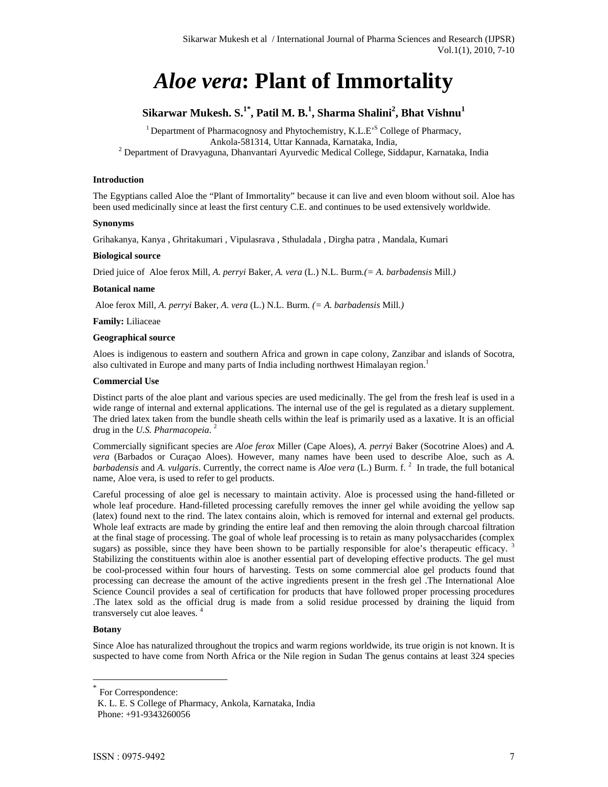# *Aloe vera***: Plant of Immortality**

## $\boldsymbol{\mathrm{Sikarwar\ Mukesh.\ S.}}^{1*}$ , Patil M. B.<sup>1</sup>, Sharma Shalini<sup>2</sup>, Bhat Vishnu $^1$

<sup>1</sup> Department of Pharmacognosy and Phytochemistry, K.L.E<sup>S</sup> College of Pharmacy, Ankola-581314, Uttar Kannada, Karnataka, India,<br><sup>2</sup> Department of Dravyaguna, Dhanvantari Ayurvedic Medical College, Siddapur, Karnataka, India

## **Introduction**

The Egyptians called Aloe the "Plant of Immortality" because it can live and even bloom without soil. Aloe has been used medicinally since at least the first century C.E. and continues to be used extensively worldwide.

## **Synonyms**

Grihakanya, Kanya , Ghritakumari , Vipulasrava , Sthuladala , Dirgha patra , Mandala, Kumari

## **Biological source**

Dried juice of Aloe ferox Mill*, A. perryi* Baker*, A. vera* (L.) N.L. Burm*.(= A. barbadensis* Mill.*)* 

## **Botanical name**

Aloe ferox Mill*, A. perryi* Baker*, A. vera* (L.) N.L. Burm*. (= A. barbadensis* Mill.*)* 

**Family:** Liliaceae

## **Geographical source**

Aloes is indigenous to eastern and southern Africa and grown in cape colony, Zanzibar and islands of Socotra, also cultivated in Europe and many parts of India including northwest Himalayan region.<sup>1</sup>

## **Commercial Use**

Distinct parts of the aloe plant and various species are used medicinally. The gel from the fresh leaf is used in a wide range of internal and external applications. The internal use of the gel is regulated as a dietary supplement. The dried latex taken from the bundle sheath cells within the leaf is primarily used as a laxative. It is an official drug in the *U.S. Pharmacopeia*. 2

Commercially significant species are *Aloe ferox* Miller (Cape Aloes), *A. perryi* Baker (Socotrine Aloes) and *A. vera* (Barbados or Curaçao Aloes). However, many names have been used to describe Aloe, such as *A.*  barbadensis and A. vulgaris. Currently, the correct name is *Aloe vera* (L.) Burm. f.<sup>2</sup> In trade, the full botanical name, Aloe vera, is used to refer to gel products.

Careful processing of aloe gel is necessary to maintain activity. Aloe is processed using the hand-filleted or whole leaf procedure. Hand-filleted processing carefully removes the inner gel while avoiding the yellow sap (latex) found next to the rind. The latex contains aloin, which is removed for internal and external gel products. Whole leaf extracts are made by grinding the entire leaf and then removing the aloin through charcoal filtration at the final stage of processing. The goal of whole leaf processing is to retain as many polysaccharides (complex sugars) as possible, since they have been shown to be partially responsible for aloe's therapeutic efficacy. Stabilizing the constituents within aloe is another essential part of developing effective products. The gel must be cool-processed within four hours of harvesting. Tests on some commercial aloe gel products found that processing can decrease the amount of the active ingredients present in the fresh gel .The International Aloe Science Council provides a seal of certification for products that have followed proper processing procedures .The latex sold as the official drug is made from a solid residue processed by draining the liquid from transversely cut aloe leaves. <sup>4</sup>

## **Botany**

 $\overline{a}$ 

Since Aloe has naturalized throughout the tropics and warm regions worldwide, its true origin is not known. It is suspected to have come from North Africa or the Nile region in Sudan The genus contains at least 324 species

For Correspondence:

K. L. E. S College of Pharmacy, Ankola, Karnataka, India

Phone: +91-9343260056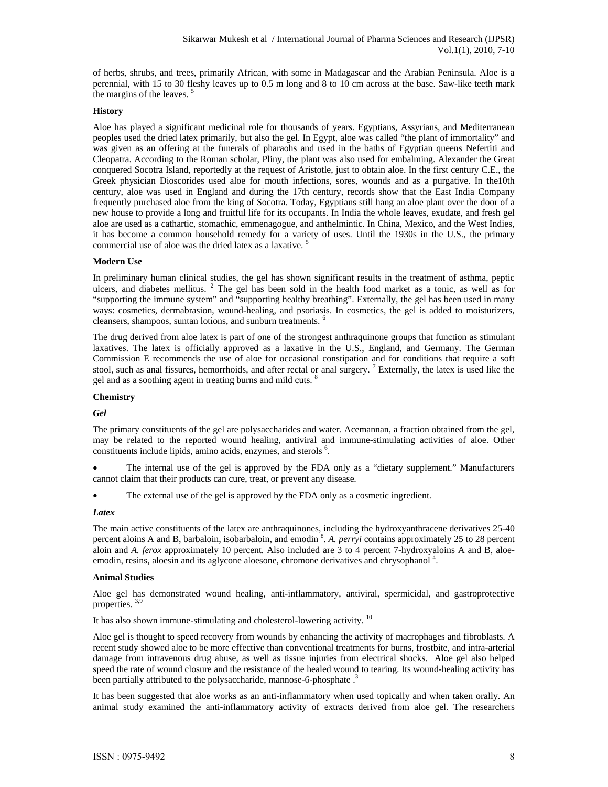of herbs, shrubs, and trees, primarily African, with some in Madagascar and the Arabian Peninsula. Aloe is a perennial, with 15 to 30 fleshy leaves up to 0.5 m long and 8 to 10 cm across at the base. Saw-like teeth mark the margins of the leaves.<sup>5</sup>

## **History**

Aloe has played a significant medicinal role for thousands of years. Egyptians, Assyrians, and Mediterranean peoples used the dried latex primarily, but also the gel. In Egypt, aloe was called "the plant of immortality" and was given as an offering at the funerals of pharaohs and used in the baths of Egyptian queens Nefertiti and Cleopatra. According to the Roman scholar, Pliny, the plant was also used for embalming. Alexander the Great conquered Socotra Island, reportedly at the request of Aristotle, just to obtain aloe. In the first century C.E., the Greek physician Dioscorides used aloe for mouth infections, sores, wounds and as a purgative. In the10th century, aloe was used in England and during the 17th century, records show that the East India Company frequently purchased aloe from the king of Socotra. Today, Egyptians still hang an aloe plant over the door of a new house to provide a long and fruitful life for its occupants. In India the whole leaves, exudate, and fresh gel aloe are used as a cathartic, stomachic, emmenagogue, and anthelmintic. In China, Mexico, and the West Indies, it has become a common household remedy for a variety of uses. Until the 1930s in the U.S., the primary commercial use of aloe was the dried latex as a laxative.<sup>5</sup>

#### **Modern Use**

In preliminary human clinical studies, the gel has shown significant results in the treatment of asthma, peptic ulcers, and diabetes mellitus. <sup>2</sup> The gel has been sold in the health food market as a tonic, as well as for "supporting the immune system" and "supporting healthy breathing". Externally, the gel has been used in many ways: cosmetics, dermabrasion, wound-healing, and psoriasis. In cosmetics, the gel is added to moisturizers, cleansers, shampoos, suntan lotions, and sunburn treatments. <sup>6</sup>

The drug derived from aloe latex is part of one of the strongest anthraquinone groups that function as stimulant laxatives. The latex is officially approved as a laxative in the U.S., England, and Germany. The German Commission E recommends the use of aloe for occasional constipation and for conditions that require a soft stool, such as anal fissures, hemorrhoids, and after rectal or anal surgery.<sup>7</sup> Externally, the latex is used like the gel and as a soothing agent in treating burns and mild cuts. <sup>8</sup>

#### **Chemistry**

#### *Gel*

The primary constituents of the gel are polysaccharides and water. Acemannan, a fraction obtained from the gel, may be related to the reported wound healing, antiviral and immune-stimulating activities of aloe. Other constituents include lipids, amino acids, enzymes, and sterols <sup>6</sup>.

 The internal use of the gel is approved by the FDA only as a "dietary supplement." Manufacturers cannot claim that their products can cure, treat, or prevent any disease.

The external use of the gel is approved by the FDA only as a cosmetic ingredient.

#### *Latex*

The main active constituents of the latex are anthraquinones, including the hydroxyanthracene derivatives 25-40 percent aloins A and B, barbaloin, isobarbaloin, and emodin <sup>8</sup>. A. *perryi* contains approximately 25 to 28 percent aloin and *A. ferox* approximately 10 percent. Also included are 3 to 4 percent 7-hydroxyaloins A and B, aloeemodin, resins, aloesin and its aglycone aloesone, chromone derivatives and chrysophanol<sup>4</sup>.

#### **Animal Studies**

Aloe gel has demonstrated wound healing, anti-inflammatory, antiviral, spermicidal, and gastroprotective properties. 3,9

It has also shown immune-stimulating and cholesterol-lowering activity. 10

Aloe gel is thought to speed recovery from wounds by enhancing the activity of macrophages and fibroblasts. A recent study showed aloe to be more effective than conventional treatments for burns, frostbite, and intra-arterial damage from intravenous drug abuse, as well as tissue injuries from electrical shocks. Aloe gel also helped speed the rate of wound closure and the resistance of the healed wound to tearing. Its wound-healing activity has been partially attributed to the polysaccharide, mannose-6-phosphate.<sup>3</sup>

It has been suggested that aloe works as an anti-inflammatory when used topically and when taken orally. An animal study examined the anti-inflammatory activity of extracts derived from aloe gel. The researchers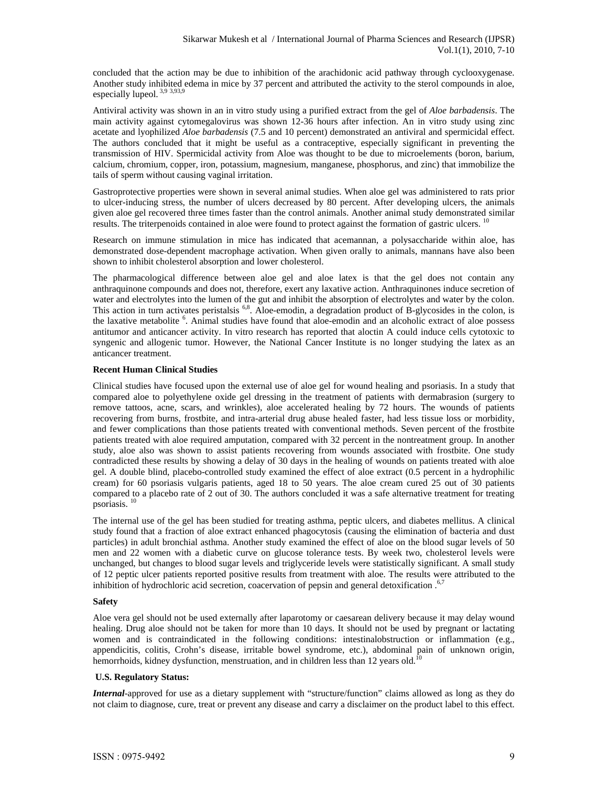concluded that the action may be due to inhibition of the arachidonic acid pathway through cyclooxygenase. Another study inhibited edema in mice by 37 percent and attributed the activity to the sterol compounds in aloe, especially lupeol. 3,9 3,93,9

Antiviral activity was shown in an in vitro study using a purified extract from the gel of *Aloe barbadensis*. The main activity against cytomegalovirus was shown 12-36 hours after infection. An in vitro study using zinc acetate and lyophilized *Aloe barbadensis* (7.5 and 10 percent) demonstrated an antiviral and spermicidal effect. The authors concluded that it might be useful as a contraceptive, especially significant in preventing the transmission of HIV. Spermicidal activity from Aloe was thought to be due to microelements (boron, barium, calcium, chromium, copper, iron, potassium, magnesium, manganese, phosphorus, and zinc) that immobilize the tails of sperm without causing vaginal irritation.

Gastroprotective properties were shown in several animal studies. When aloe gel was administered to rats prior to ulcer-inducing stress, the number of ulcers decreased by 80 percent. After developing ulcers, the animals given aloe gel recovered three times faster than the control animals. Another animal study demonstrated similar results. The triterpenoids contained in aloe were found to protect against the formation of gastric ulcers. <sup>10</sup>

Research on immune stimulation in mice has indicated that acemannan, a polysaccharide within aloe, has demonstrated dose-dependent macrophage activation. When given orally to animals, mannans have also been shown to inhibit cholesterol absorption and lower cholesterol.

The pharmacological difference between aloe gel and aloe latex is that the gel does not contain any anthraquinone compounds and does not, therefore, exert any laxative action. Anthraquinones induce secretion of water and electrolytes into the lumen of the gut and inhibit the absorption of electrolytes and water by the colon. This action in turn activates peristalsis <sup>6,8</sup>. Aloe-emodin, a degradation product of B-glycosides in the colon, is the laxative metabolite <sup>6</sup>. Animal studies have found that aloe-emodin and an alcoholic extract of aloe possess antitumor and anticancer activity. In vitro research has reported that aloctin A could induce cells cytotoxic to syngenic and allogenic tumor. However, the National Cancer Institute is no longer studying the latex as an anticancer treatment.

## **Recent Human Clinical Studies**

Clinical studies have focused upon the external use of aloe gel for wound healing and psoriasis. In a study that compared aloe to polyethylene oxide gel dressing in the treatment of patients with dermabrasion (surgery to remove tattoos, acne, scars, and wrinkles), aloe accelerated healing by 72 hours. The wounds of patients recovering from burns, frostbite, and intra-arterial drug abuse healed faster, had less tissue loss or morbidity, and fewer complications than those patients treated with conventional methods. Seven percent of the frostbite patients treated with aloe required amputation, compared with 32 percent in the nontreatment group. In another study, aloe also was shown to assist patients recovering from wounds associated with frostbite. One study contradicted these results by showing a delay of 30 days in the healing of wounds on patients treated with aloe gel. A double blind, placebo-controlled study examined the effect of aloe extract (0.5 percent in a hydrophilic cream) for 60 psoriasis vulgaris patients, aged 18 to 50 years. The aloe cream cured 25 out of 30 patients compared to a placebo rate of 2 out of 30. The authors concluded it was a safe alternative treatment for treating psoriasis. <sup>10</sup>

The internal use of the gel has been studied for treating asthma, peptic ulcers, and diabetes mellitus. A clinical study found that a fraction of aloe extract enhanced phagocytosis (causing the elimination of bacteria and dust particles) in adult bronchial asthma. Another study examined the effect of aloe on the blood sugar levels of 50 men and 22 women with a diabetic curve on glucose tolerance tests. By week two, cholesterol levels were unchanged, but changes to blood sugar levels and triglyceride levels were statistically significant. A small study of 12 peptic ulcer patients reported positive results from treatment with aloe. The results were attributed to the inhibition of hydrochloric acid secretion, coacervation of pepsin and general detoxification  $.67$ 

## **Safety**

Aloe vera gel should not be used externally after laparotomy or caesarean delivery because it may delay wound healing. Drug aloe should not be taken for more than 10 days. It should not be used by pregnant or lactating women and is contraindicated in the following conditions: intestinalobstruction or inflammation (e.g., appendicitis, colitis, Crohn's disease, irritable bowel syndrome, etc.), abdominal pain of unknown origin, hemorrhoids, kidney dysfunction, menstruation, and in children less than 12 years old.<sup>10</sup>

## **U.S. Regulatory Status:**

*Internal-*approved for use as a dietary supplement with "structure/function" claims allowed as long as they do not claim to diagnose, cure, treat or prevent any disease and carry a disclaimer on the product label to this effect.